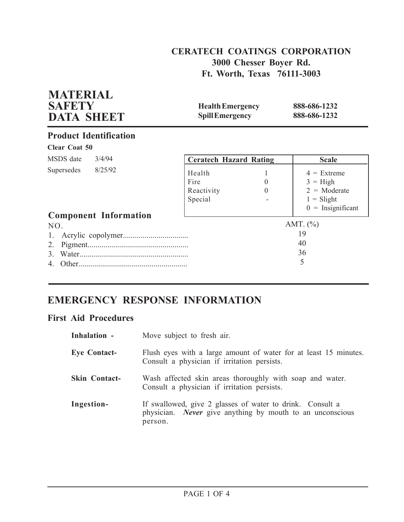# **CERATECH COATINGS CORPORATION 3000 Chesser Boyer Rd. Ft. Worth, Texas 76111-3003**

| <b>SAFETY</b><br><b>DATA SHEET</b>            |        |                                         | <b>Health Emergency</b><br><b>Spill Emergency</b> |                                                                                              |
|-----------------------------------------------|--------|-----------------------------------------|---------------------------------------------------|----------------------------------------------------------------------------------------------|
| <b>Product Identification</b>                 |        |                                         |                                                   |                                                                                              |
| <b>Clear Coat 50</b>                          |        |                                         |                                                   |                                                                                              |
| MSDS date                                     | 3/4/94 | <b>Ceratech Hazard Rating</b>           |                                                   | <b>Scale</b>                                                                                 |
| Supersedes 8/25/92                            |        | Health<br>Fire<br>Reactivity<br>Special | 1<br>$\theta$<br>$\Omega$                         | $4 =$ Extreme<br>$3 = High$<br>$2 = \text{Moderate}$<br>$1 = S$ light<br>$0 =$ Insignificant |
| <b>Component Information</b><br>NO.<br>Other. |        |                                         |                                                   | AMT. $(\% )$<br>19<br>40<br>36<br>5                                                          |

# **EMERGENCY RESPONSE INFORMATION**

# **First Aid Procedures**

**MATERIAL**

| Inhalation -         | Move subject to fresh air.                                                                                                        |
|----------------------|-----------------------------------------------------------------------------------------------------------------------------------|
| <b>Eye Contact-</b>  | Flush eyes with a large amount of water for at least 15 minutes.<br>Consult a physician if irritation persists.                   |
| <b>Skin Contact-</b> | Wash affected skin areas thoroughly with soap and water.<br>Consult a physician if irritation persists.                           |
| Ingestion-           | If swallowed, give 2 glasses of water to drink. Consult a<br>physician. Never give anything by mouth to an unconscious<br>person. |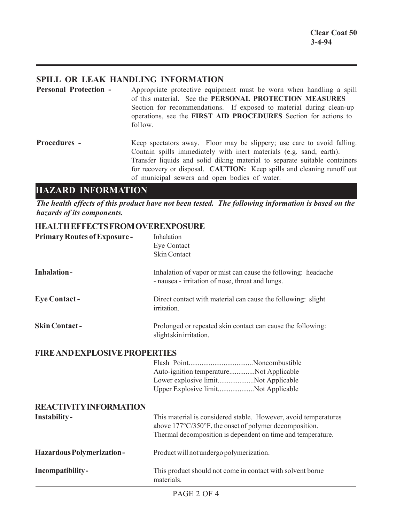## **SPILL OR LEAK HANDLING INFORMATION**

**Personal Protection -** Appropriate protective equipment must be worn when handling a spill of this material. See the **PERSONAL PROTECTION MEASURES** Section for recommendations. If exposed to material during clean-up operations, see the **FIRST AID PROCEDURES** Section for actions to follow. **Procedures -** Keep spectators away. Floor may be slippery; use care to avoid falling.

Contain spills immediately with inert materials (e.g. sand, earth). Transfer liquids and solid diking material to separate suitable containers for recovery or disposal. **CAUTION:** Keep spills and cleaning runoff out of municipal sewers and open bodies of water.

# **HAZARD INFORMATION**

*The health effects of this product have not been tested. The following information is based on the hazards of its components.*

## **HEALTH EFFECTS FROM OVEREXPOSURE**

| <b>Primary Routes of Exposure-</b>   | Inhalation<br>Eye Contact<br><b>Skin Contact</b>                                                                                                                                         |  |  |
|--------------------------------------|------------------------------------------------------------------------------------------------------------------------------------------------------------------------------------------|--|--|
| <b>Inhalation-</b>                   | Inhalation of vapor or mist can cause the following: headache<br>- nausea - irritation of nose, throat and lungs.                                                                        |  |  |
| <b>Eye Contact -</b>                 | Direct contact with material can cause the following: slight<br>irritation.                                                                                                              |  |  |
| <b>Skin Contact-</b>                 | Prolonged or repeated skin contact can cause the following:<br>slight skin irritation.                                                                                                   |  |  |
| <b>FIRE AND EXPLOSIVE PROPERTIES</b> |                                                                                                                                                                                          |  |  |
|                                      | Auto-ignition temperatureNot Applicable<br>Lower explosive limitNot Applicable<br>Upper Explosive limitNot Applicable                                                                    |  |  |
| <b>REACTIVITY INFORMATION</b>        |                                                                                                                                                                                          |  |  |
| Instability-                         | This material is considered stable. However, avoid temperatures<br>above 177°C/350°F, the onset of polymer decomposition.<br>Thermal decomposition is dependent on time and temperature. |  |  |
| <b>Hazardous Polymerization-</b>     | Product will not undergo polymerization.                                                                                                                                                 |  |  |
| Incompatibility-                     | This product should not come in contact with solvent borne<br>materials.                                                                                                                 |  |  |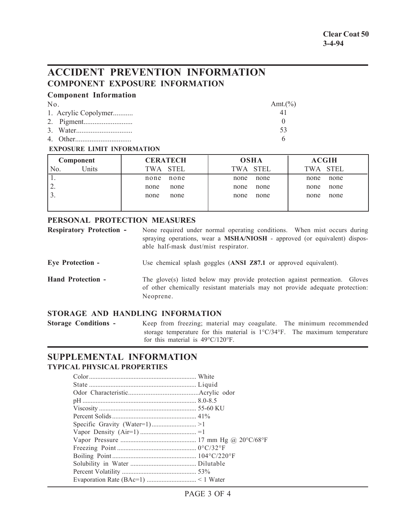# **ACCIDENT PREVENTION INFORMATION COMPONENT EXPOSURE INFORMATION**

|  | <b>Component Information</b> |
|--|------------------------------|
|--|------------------------------|

| $N_{0}$ |                      | Amt. $(\%)$ |
|---------|----------------------|-------------|
|         | 1. Acrylic Copolymer |             |
|         |                      |             |
|         |                      | 53          |
|         |                      |             |

#### **EXPOSURE LIMIT INFORMATION**

| Component               | <b>OSHA</b><br><b>CERATECH</b> |          | <b>ACGIH</b> |  |  |
|-------------------------|--------------------------------|----------|--------------|--|--|
| Units<br>N <sub>0</sub> | TWA STEL                       | TWA STEL | TWA STEL     |  |  |
|                         | none                           | none     | none         |  |  |
|                         | none                           | none     | none         |  |  |
| ۷.                      | none                           | none     | none         |  |  |
|                         | none                           | none     | none         |  |  |
|                         | none                           | none     | none         |  |  |
|                         | none                           | none     | none         |  |  |
|                         |                                |          |              |  |  |

### **PERSONAL PROTECTION MEASURES**

| <b>Respiratory Protection -</b> | None required under normal operating conditions. When mist occurs during         |  |  |  |
|---------------------------------|----------------------------------------------------------------------------------|--|--|--|
|                                 | spraying operations, wear a <b>MSHA/NIOSH</b> - approved (or equivalent) dispos- |  |  |  |
|                                 | able half-mask dust/mist respirator.                                             |  |  |  |

**Eye Protection -** Use chemical splash goggles (**ANSI Z87.1** or approved equivalent).

**Hand Protection -** The glove(s) listed below may provide protection against permeation. Gloves of other chemically resistant materials may not provide adequate protection: Neoprene.

## **STORAGE AND HANDLING INFORMATION**

**Storage Conditions -** Keep from freezing; material may coagulate. The minimum recommended storage temperature for this material is 1°C/34°F. The maximum temperature for this material is 49°C/120°F.

## **SUPPLEMENTAL INFORMATION TYPICAL PHYSICAL PROPERTIES**